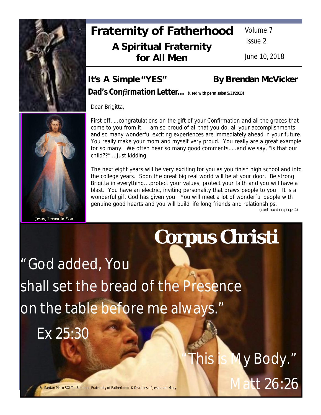

# **Fraternity of Fatherhood A Spiritual Fraternity for All Men**

Volume 7

Issue 2

June 10, 2018

# It's A Simple "YES" By Brendan McVicker

*Dad's Confirmation Letter… (used with permission 5/31/2018)*

Dear Brigitta,

First off…..congratulations on the gift of your Confirmation and all the graces that come to you from it. I am so proud of all that you do, all your accomplishments and so many wonderful exciting experiences are immediately ahead in your future. You really make your mom and myself very proud. You really are a great example for so many. We often hear so many good comments…..and we say, "is that our child??"….just kidding.

The next eight years will be very exciting for you as you finish high school and into the college years. Soon the great big real world will be at your door. Be strong Brigitta in everything….protect your values, protect your faith and you will have a blast. You have an electric, inviting personality that draws people to you. It is a wonderful gift God has given you. You will meet a lot of wonderful people with genuine good hearts and you will build life long friends and relationships.

*LkvalkjfglkƦlkƦfl;ƨ;dlsƨ;dlƨ;lasdƨ;ladsk;safdakkkkkkkkkkkkkkkkkkkkkkkkkkkkkkkkkkkkkkkkkkk(continued on page 4)*

y Body."

# **Corpus Christi**

"God added, You shall set the bread of the Presence on the table before me always."

Ex 25:30



Jesus, I trust in You

Santan Pinto SOLT—Founder Fraternity of Fatherhood & Disciples of Jesus and Mary Math 1968.26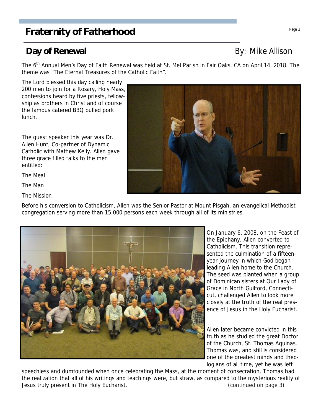## **Day of Renewal** By: Mike Allison

The 6<sup>th</sup> Annual Men's Day of Faith Renewal was held at St. Mel Parish in Fair Oaks, CA on April 14, 2018. The theme was "The Eternal Treasures of the Catholic Faith".

The Lord blessed this day calling nearly 200 men to join for a Rosary, Holy Mass, confessions heard by five priests, fellowship as brothers in Christ and of course the famous catered BBQ pulled pork lunch.

The guest speaker this year was Dr. Allen Hunt, Co-partner of Dynamic Catholic with Mathew Kelly. Allen gave three grace filled talks to the men entitled:

The Meal

The Man

The Mission

Before his conversion to Catholicism, Allen was the Senior Pastor at Mount Pisgah, an evangelical Methodist congregation serving more than 15,000 persons each week through all of its ministries.

> On January 6, 2008, on the Feast of the Epiphany, Allen converted to Catholicism. This transition represented the culmination of a fifteenyear journey in which God began leading Allen home to the Church. The seed was planted when a group of Dominican sisters at Our Lady of Grace in North Guilford, Connecticut, challenged Allen to look more closely at the truth of the real presence of Jesus in the Holy Eucharist.

> Allen later became convicted in this truth as he studied the great Doctor of the Church, St. Thomas Aquinas. Thomas was, and still is considered one of the greatest minds and theologians of all time, yet he was left

speechless and dumfounded when once celebrating the Mass, at the moment of consecration, Thomas had the realization that all of his writings and teachings were, but straw, as compared to the mysterious reality of Jesus truly present in The Holy Eucharist. (continued on page 3)

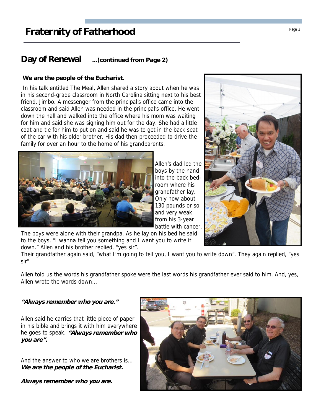### **Day of Renewal ...(continued from Page 2)**

#### **We are the people of the Eucharist.**

 In his talk entitled The Meal, Allen shared a story about when he was in his second-grade classroom in North Carolina sitting next to his best friend, Jimbo. A messenger from the principal's office came into the classroom and said Allen was needed in the principal's office. He went down the hall and walked into the office where his mom was waiting for him and said she was signing him out for the day. She had a little coat and tie for him to put on and said he was to get in the back seat of the car with his older brother. His dad then proceeded to drive the family for over an hour to the home of his grandparents.



Allen's dad led the boys by the hand into the back bedroom where his grandfather lay. Only now about 130 pounds or so and very weak from his 3-year battle with cancer.

The boys were alone with their grandpa. As he lay on his bed he said to the boys, "I wanna tell you something and I want you to write it down." Allen and his brother replied, "yes sir".

Their grandfather again said, "what I'm going to tell you, I want you to write down". They again replied, "yes sir".

Allen told us the words his grandfather spoke were the last words his grandfather ever said to him. And, yes, Allen wrote the words down…

#### **"Always remember who you are."**

Allen said he carries that little piece of paper in his bible and brings it with him everywhere he goes to speak. **"Always remember who you are".**

And the answer to who we are brothers is… **We are the people of the Eucharist.**

**Always remember who you are.**



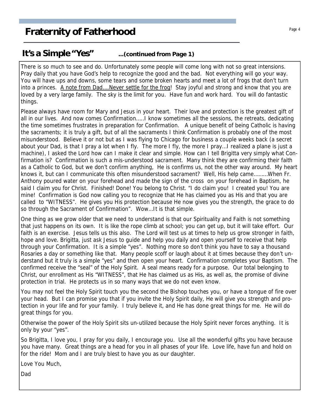#### **It's a Simple "Yes" ...(continued from Page 1)**

There is so much to see and do. Unfortunately some people will come long with not so great intensions. Pray daily that you have God's help to recognize the good and the bad. Not everything will go your way. You will have ups and downs, some tears and some broken hearts and meet a lot of frogs that don't turn into a princes. A note from Dad….Never settle for the frog! Stay joyful and strong and know that you are loved by a very large family. The sky is the limit for you. Have fun and work hard. You will do fantastic things.

Please always have room for Mary and Jesus in your heart. Their love and protection is the greatest gift of all in our lives. And now comes Confirmation…..I know sometimes all the sessions, the retreats, dedicating the time sometimes frustrates in preparation for Confirmation. A unique benefit of being Catholic is having the sacraments; it is truly a gift, but of all the sacraments I think Confirmation is probably one of the most misunderstood. Believe it or not but as I was flying to Chicago for business a couple weeks back (a secret about your Dad, is that I pray a lot when I fly. The more I fly, the more I pray…I realized a plane is just a machine), I asked the Lord how can I make it clear and simple. How can I tell Brigitta very simply what Confirmation is? Confirmation is such a mis-understood sacrament. Many think they are confirming their faith as a Catholic to God, but we don't confirm anything, He is confirms us, not the other way around. My heart knows it, but can I communicate this often misunderstood sacrament? Well, His help came………When Fr. Anthony poured water on your forehead and made the sign of the cross on your forehead in Baptism, he said I claim you for Christ. Finished! Done! You belong to Christ. "I do claim you! I created you! You are mine! Confirmation is God now calling you to recognize that He has claimed you as His and that you are called to "WITNESS". He gives you His protection because He now gives you the strength, the grace to do so through the Sacrament of Confirmation". Wow…It is that simple.

One thing as we grow older that we need to understand is that our Spirituality and Faith is not something that just happens on its own. It is like the rope climb at school; you can get up, but it will take effort. Our faith is an exercise. Jesus tells us this also. The Lord will test us at times to help us grow stronger in faith, hope and love. Brigitta, just ask Jesus to guide and help you daily and open yourself to receive that help through your Confirmation. It is a simple "yes". Nothing more so don't think you have to say a thousand Rosaries a day or something like that. Many people scoff or laugh about it at times because they don't understand but it truly is a simple "yes" and then open your heart. Confirmation completes your Baptism. The confirmed receive the "seal" of the Holy Spirit. A seal means ready for a purpose. Our total belonging to Christ, our enrollment as His "WITNESS", that He has claimed us as His, as well as, the promise of divine protection in trial. He protects us in so many ways that we do not even know.

You may not feel the Holy Spirit touch you the second the Bishop touches you, or have a tongue of fire over your head. But I can promise you that if you invite the Holy Spirit daily, He will give you strength and protection in your life and for your family. I truly believe it, and He has done great things for me. He will do great things for you.

Otherwise the power of the Holy Spirit sits un-utilized because the Holy Spirit never forces anything. It is only by your "yes".

So Brigitta, I love you, I pray for you daily, I encourage you. Use all the wonderful gifts you have because you have many. Great things are a head for you in all phases of your life. Love life, have fun and hold on for the ride! Mom and I are truly blest to have you as our daughter.

Love You Much,

Dad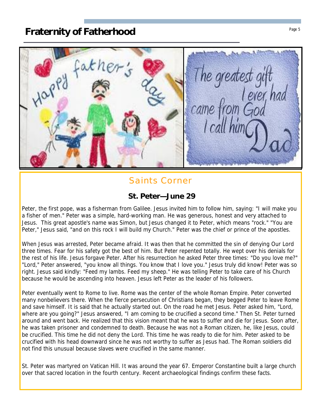

## Saints Corner

#### **St. Peter—June 29**

Peter, the first pope, was a fisherman from Galilee. Jesus invited him to follow him, saying: "I will make you a fisher of men." Peter was a simple, hard-working man. He was generous, honest and very attached to Jesus. This great apostle's name was Simon, but Jesus changed it to Peter, which means "rock." "You are Peter," Jesus said, "and on this rock I will build my Church." Peter was the chief or prince of the apostles.

When Jesus was arrested, Peter became afraid. It was then that he committed the sin of denying Our Lord three times. Fear for his safety got the best of him. But Peter repented totally. He wept over his denials for the rest of his life. Jesus forgave Peter. After his resurrection he asked Peter three times: "Do you love me?" "Lord," Peter answered, "you know all things. You know that I love you." Jesus truly did know! Peter was so right. Jesus said kindly: "Feed my lambs. Feed my sheep." He was telling Peter to take care of his Church because he would be ascending into heaven. Jesus left Peter as the leader of his followers.

Peter eventually went to Rome to live. Rome was the center of the whole Roman Empire. Peter converted many nonbelievers there. When the fierce persecution of Christians began, they begged Peter to leave Rome and save himself. It is said that he actually started out. On the road he met Jesus. Peter asked him, "Lord, where are you going?" Jesus answered, "I am coming to be crucified a second time." Then St. Peter turned around and went back. He realized that this vision meant that he was to suffer and die for Jesus. Soon after, he was taken prisoner and condemned to death. Because he was not a Roman citizen, he, like Jesus, could be crucified. This time he did not deny the Lord. This time he was ready to die for him. Peter asked to be crucified with his head downward since he was not worthy to suffer as Jesus had. The Roman soldiers did not find this unusual because slaves were crucified in the same manner.

St. Peter was martyred on Vatican Hill. It was around the year 67. Emperor Constantine built a large church over that sacred location in the fourth century. Recent archaeological findings confirm these facts.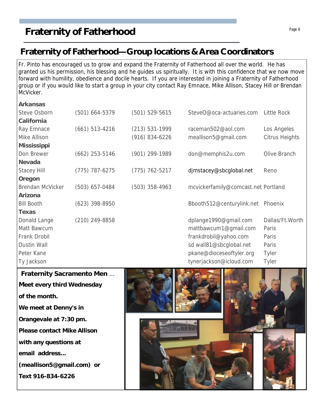# **Fraternity of Fatherhood** Page 6 **Page 6**

# **Fraternity of Fatherhood—Group locations & Area Coordinators**

Fr. Pinto has encouraged us to grow and expand the Fraternity of Fatherhood all over the world. He has granted us his permission, his blessing and he guides us spiritually. It is with this confidence that we now move forward with humility, obedience and docile hearts. If you are interested in joining a Fraternity of Fatherhood group or if you would like to start a group in your city contact Ray Emnace, Mike Allison, Stacey Hill or Brendan McVicker.

| Arkansas           |                  |                    |                                     |                    |
|--------------------|------------------|--------------------|-------------------------------------|--------------------|
| Steve Osborn       | $(501)$ 664-5379 | $(501) 529 - 5615$ | SteveO@oca-actuaries.com            | <b>Little Rock</b> |
| California         |                  |                    |                                     |                    |
| Ray Emnace         | $(661)$ 513-4216 | $(213) 531-1999$   | raceman502@aol.com                  | Los Angeles        |
| Mike Allison       |                  | $(916) 834 - 6226$ | meallison5@gmail.com                | Citrus Heights     |
| Mississippi        |                  |                    |                                     |                    |
| Don Brewer         | $(662)$ 253-5146 | (901) 299-1989     | don@memphis2u.com                   | Olive Branch       |
| Nevada             |                  |                    |                                     |                    |
| <b>Stacey Hill</b> | $(775)$ 787-6275 | $(775)$ 762-5217   | djmstacey@sbcglobal.net             | Reno               |
| Oregon             |                  |                    |                                     |                    |
| Brendan McVicker   | $(503)$ 657-0484 | $(503)$ 358-4963   | mcvickerfamily@comcast.net Portland |                    |
| Arizona            |                  |                    |                                     |                    |
| <b>Bill Booth</b>  | $(623)$ 398-8950 |                    | Bbooth512@centurylink.net           | Phoenix            |
| Texas              |                  |                    |                                     |                    |
| Donald Lange       | $(210)$ 249-8858 |                    | dplange1990@gmail.com               | Dallas/Ft.Worth    |
| Matt Bawcum        |                  |                    | mattbawcum1@gmail.com               | Paris              |
| Frank Drobil       |                  |                    | frankdrobil@yahoo.com               | Paris              |
| Dustin Wall        |                  |                    | sd wall81@sbcglobal.net             | Paris              |
| Peter Kane         |                  |                    | pkane@dioceseoftyler.org            | Tyler              |
| Ty Jackson         |                  |                    | tynerjackson@icloud.com             | Tyler              |
|                    |                  |                    |                                     |                    |

**Fraternity Sacramento Men** … **Meet every third Wednesday of the month. We meet at Denny's in Orangevale at 7:30 pm. Please contact Mike Allison with any questions at email address... (meallison5@gmail.com) or Text 916-834-6226**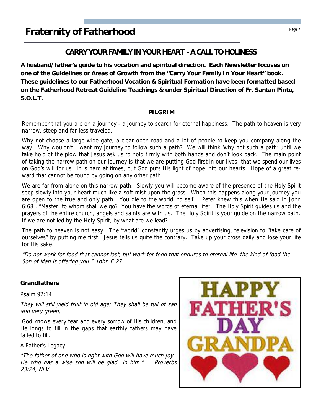### **CARRY YOUR FAMILY IN YOUR HEART - A CALL TO HOLINESS**

**A husband/father's guide to his vocation and spiritual direction. Each Newsletter focuses on one of the Guidelines or Areas of Growth from the "Carry Your Family In Your Heart" book. These guidelines to our Fatherhood Vocation & Spiritual Formation have been formatted based on the Fatherhood Retreat Guideline Teachings & under Spiritual Direction of Fr. Santan Pinto, S.O.L.T.**

#### **PILGRIM**

Remember that you are on a journey - a journey to search for eternal happiness. The path to heaven is very narrow, steep and far less traveled.

Why not choose a large wide gate, a clear open road and a lot of people to keep you company along the way. Why wouldn't I want my journey to follow such a path? We will think 'why not such a path' until we take hold of the plow that Jesus ask us to hold firmly with both hands and don't look back. The main point of taking the narrow path on our journey is that we are putting God first in our lives; that we spend our lives on God's will for us. It is hard at times, but God puts His light of hope into our hearts. Hope of a great reward that cannot be found by going on any other path.

We are far from alone on this narrow path. Slowly you will become aware of the presence of the Holy Spirit seep slowly into your heart much like a soft mist upon the grass. When this happens along your journey you are open to the true and only path. You die to the world; to self. Peter knew this when He said in John 6:68 , "Master, to whom shall we go? You have the words of eternal life". The Holy Spirit guides us and the prayers of the entire church, angels and saints are with us. The Holy Spirit is your guide on the narrow path. If we are not led by the Holy Spirit, by what are we lead?

The path to heaven is not easy. The "world" constantly urges us by advertising, television to "take care of ourselves" by putting me first. Jesus tells us quite the contrary. Take up your cross daily and lose your life for His sake.

"Do not work for food that cannot last, but work for food that endures to eternal life, the kind of food the Son of Man is offering you." John 6:27

**Grandfathers**

Psalm 92:14

They will still yield fruit in old age; They shall be full of sap and very green,

God knows every tear and every sorrow of His children, and He longs to fill in the gaps that earthly fathers may have failed to fill.

A Father's Legacy

"The father of one who is right with God will have much joy. He who has a wise son will be glad in him." Proverbs 23:24, NLV